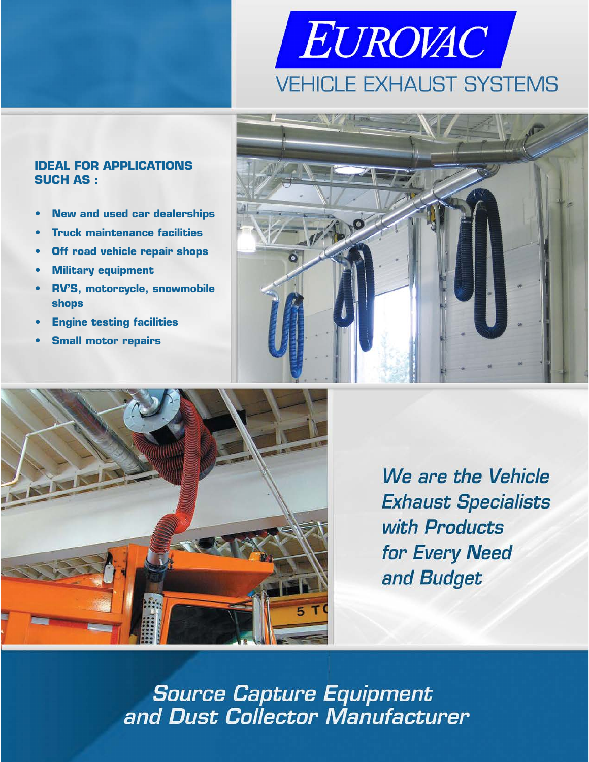# EUROVAC **VEHICLE EXHAUST SYSTEMS**





- **• New and used car dealerships**
- **Truck maintenance facilities**
- **Off road vehicle repair shops**
- **• Military equipment**
- **RV'S, motorcycle, snowmobile shops**
- **• Engine testing facilities**
- **Small motor repairs**



We are the Vehicle **Exhaust Specialists** with Products for Every Need and Budget

**Source Capture Equipment** and Dust Collector Manufacturer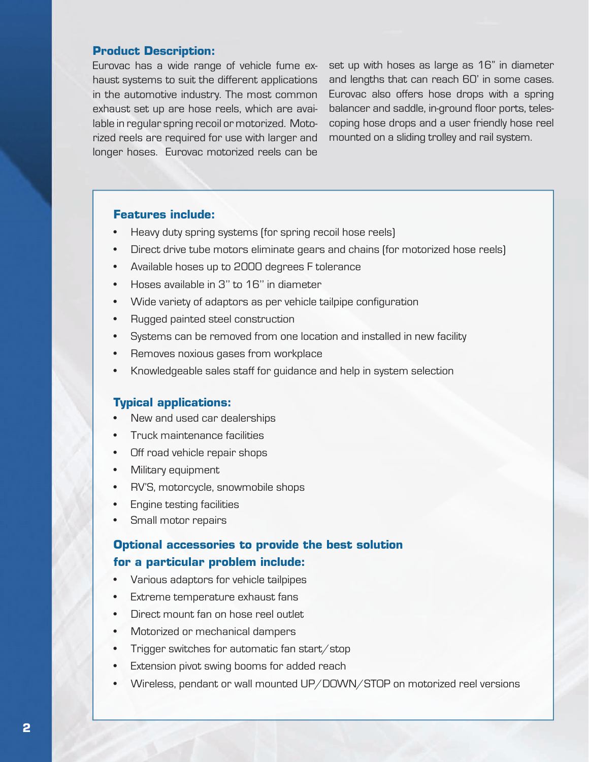#### **Product Description:**

Eurovac has a wide range of vehicle fume exhaust systems to suit the different applications in the automotive industry. The most common exhaust set up are hose reels, which are available in regular spring recoil or motorized. Motorized reels are required for use with larger and longer hoses. Eurovac motorized reels can be

set up with hoses as large as 16" in diameter and lengths that can reach 60' in some cases. Eurovac also offers hose drops with a spring balancer and saddle, in-ground floor ports, telescoping hose drops and a user friendly hose reel mounted on a sliding trolley and rail system.

## **Features include:**

- Heavy duty spring systems (for spring recoil hose reels)
- Direct drive tube motors eliminate gears and chains (for motorized hose reels)
- Available hoses up to 2000 degrees F tolerance
- Hoses available in 3'' to 16'' in diameter
- Wide variety of adaptors as per vehicle tailpipe configuration
- Rugged painted steel construction
- Systems can be removed from one location and installed in new facility
- Removes noxious gases from workplace
- Knowledgeable sales staff for guidance and help in system selection

### **Typical applications:**

- New and used car dealerships
- Truck maintenance facilities
- Off road vehicle repair shops
- Military equipment
- RV'S, motorcycle, snowmobile shops
- Engine testing facilities
- Small motor repairs

# **Optional accessories to provide the best solution for a particular problem include:**

- Various adaptors for vehicle tailpipes
- Extreme temperature exhaust fans
- Direct mount fan on hose reel outlet
- Motorized or mechanical dampers
- Trigger switches for automatic fan start/stop
- Extension pivot swing booms for added reach
- Wireless, pendant or wall mounted UP/DOWN/STOP on motorized reel versions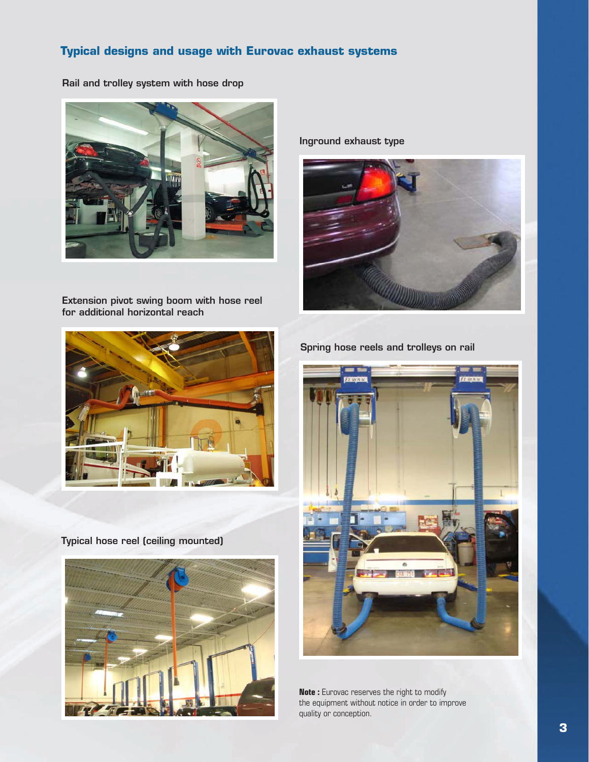# **Typical designs and usage with Eurovac exhaust systems**

Rail and trolley system with hose drop



Extension pivot swing boom with hose reel for additional horizontal reach

Inground exhaust type





Typical hose reel (ceiling mounted)



Spring hose reels and trolleys on rail



**Note :** Eurovac reserves the right to modify the equipment without notice in order to improve quality or conception.